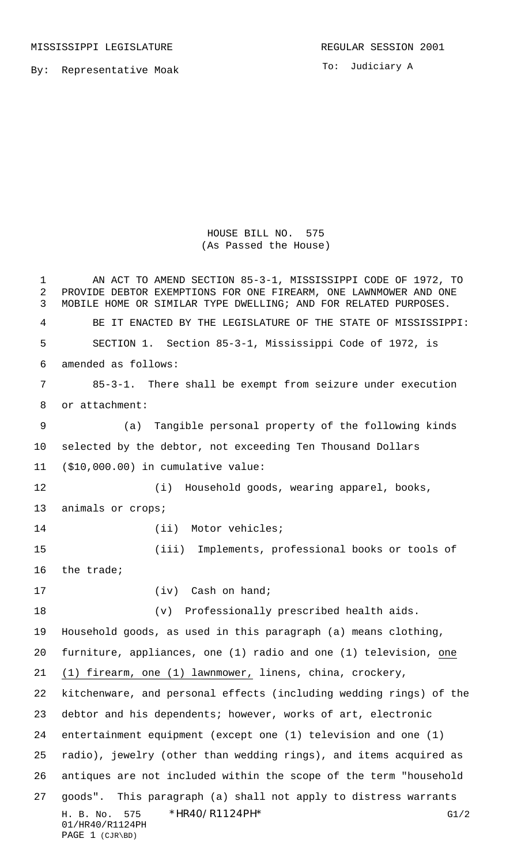By: Representative Moak

To: Judiciary A

## HOUSE BILL NO. 575 (As Passed the House)

H. B. No. 575 \* HR40/R1124PH \* The mass of the G1/2 01/HR40/R1124PH PAGE 1 (CJR\BD) AN ACT TO AMEND SECTION 85-3-1, MISSISSIPPI CODE OF 1972, TO PROVIDE DEBTOR EXEMPTIONS FOR ONE FIREARM, ONE LAWNMOWER AND ONE MOBILE HOME OR SIMILAR TYPE DWELLING; AND FOR RELATED PURPOSES. BE IT ENACTED BY THE LEGISLATURE OF THE STATE OF MISSISSIPPI: SECTION 1. Section 85-3-1, Mississippi Code of 1972, is amended as follows: 85-3-1. There shall be exempt from seizure under execution or attachment: (a) Tangible personal property of the following kinds selected by the debtor, not exceeding Ten Thousand Dollars (\$10,000.00) in cumulative value: (i) Household goods, wearing apparel, books, animals or crops; 14 (ii) Motor vehicles; (iii) Implements, professional books or tools of the trade; 17 (iv) Cash on hand; (v) Professionally prescribed health aids. Household goods, as used in this paragraph (a) means clothing, furniture, appliances, one (1) radio and one (1) television, one (1) firearm, one (1) lawnmower, linens, china, crockery, kitchenware, and personal effects (including wedding rings) of the debtor and his dependents; however, works of art, electronic entertainment equipment (except one (1) television and one (1) radio), jewelry (other than wedding rings), and items acquired as antiques are not included within the scope of the term "household goods". This paragraph (a) shall not apply to distress warrants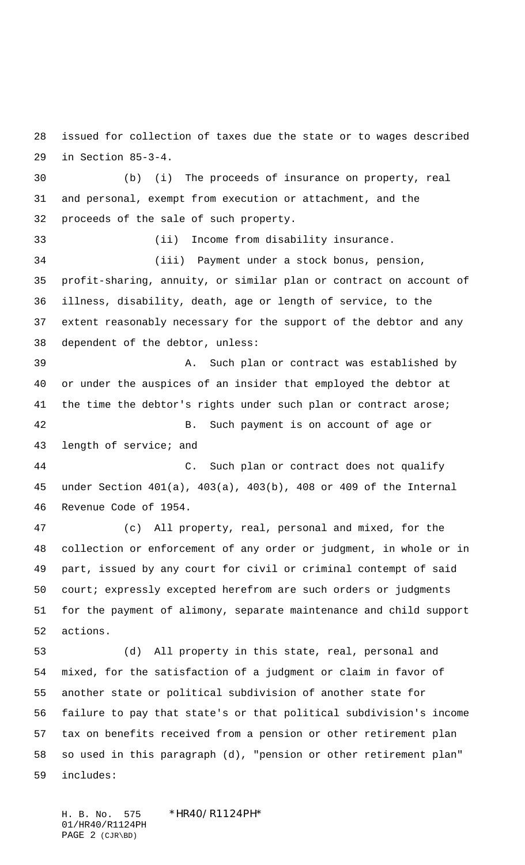issued for collection of taxes due the state or to wages described in Section 85-3-4.

 (b) (i) The proceeds of insurance on property, real and personal, exempt from execution or attachment, and the proceeds of the sale of such property. (ii) Income from disability insurance. (iii) Payment under a stock bonus, pension, profit-sharing, annuity, or similar plan or contract on account of illness, disability, death, age or length of service, to the extent reasonably necessary for the support of the debtor and any dependent of the debtor, unless: A. Such plan or contract was established by or under the auspices of an insider that employed the debtor at 41 the time the debtor's rights under such plan or contract arose; B. Such payment is on account of age or length of service; and C. Such plan or contract does not qualify under Section 401(a), 403(a), 403(b), 408 or 409 of the Internal Revenue Code of 1954. (c) All property, real, personal and mixed, for the

 collection or enforcement of any order or judgment, in whole or in part, issued by any court for civil or criminal contempt of said court; expressly excepted herefrom are such orders or judgments for the payment of alimony, separate maintenance and child support actions.

 (d) All property in this state, real, personal and mixed, for the satisfaction of a judgment or claim in favor of another state or political subdivision of another state for failure to pay that state's or that political subdivision's income tax on benefits received from a pension or other retirement plan so used in this paragraph (d), "pension or other retirement plan" includes:

H. B. No. 575 \*HR40/R1124PH\* 01/HR40/R1124PH PAGE 2 (CJR\BD)